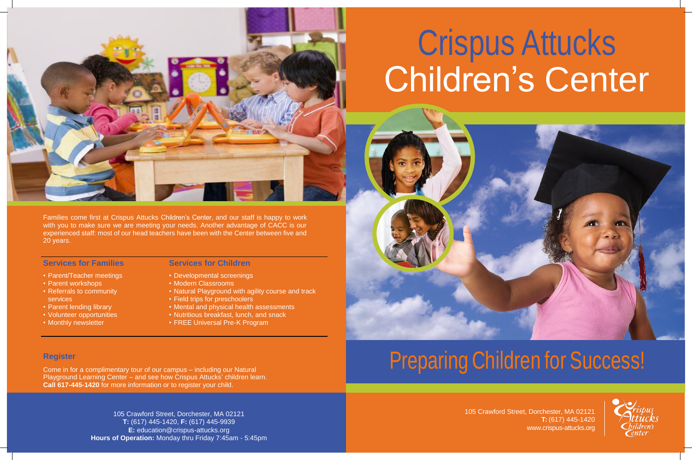

# Crispus Attucks Children's Center

Families come first at Crispus Attucks Children's Center, and our staff is happy to work with you to make sure we are meeting your needs. Another advantage of CACC is our experienced staff: most of our head teachers have been with the Center between five and 20 years.

#### **Services for Families**

- Parent/Teacher meetings
- Parent workshops
- Referrals to community services
- Parent lending library
- Volunteer opportunities
- Monthly newsletter

#### **Services for Children**

- Developmental screenings
- Modern Classrooms
- Natural Playground with agility course and track
- Field trips for preschoolers
- Mental and physical health assessments
- Nutritious breakfast, lunch, and snack
- FREE Universal Pre-K Program

Come in for a complimentary tour of our campus – including our Natural Playground Learning Center – and see how Crispus Attucks' children learn. **Call 617-445-1420** for more information or to register your child.

### **Register**

105 Crawford Street, Dorchester, MA 02121 **T:** (617) 445-1420 [www.crispus-attucks.org](http://www.crispus-attucks.org/)

105 Crawford Street, Dorchester, MA 02121 **T:** (617) 445-1420, **F:** (617) 445-9939 **E:** [education@crispus-attucks.org](mailto:education@crispus-attucks.org) **Hours of Operation:** Monday thru Friday 7:45am - 5:45pm

# Preparing Children for Success!